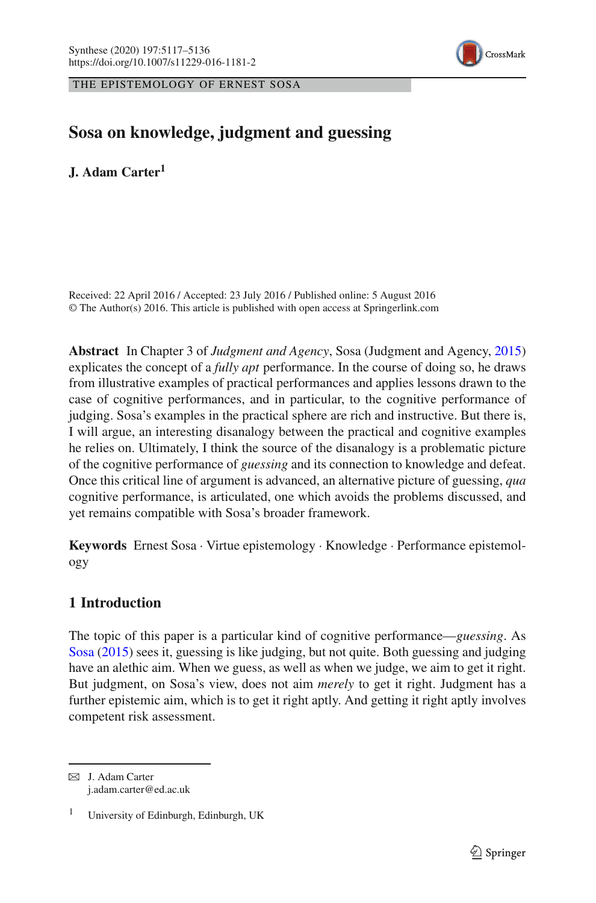

THE EPISTEMOLOGY OF ERNEST SOSA

# **Sosa on knowledge, judgment and guessing**

**J. Adam Carter<sup>1</sup>**

Received: 22 April 2016 / Accepted: 23 July 2016 / Published online: 5 August 2016 © The Author(s) 2016. This article is published with open access at Springerlink.com

**Abstract** In Chapter 3 of *Judgment and Agency*, Sosa (Judgment and Agency, [2015\)](#page-18-0) explicates the concept of a *fully apt* performance. In the course of doing so, he draws from illustrative examples of practical performances and applies lessons drawn to the case of cognitive performances, and in particular, to the cognitive performance of judging. Sosa's examples in the practical sphere are rich and instructive. But there is, I will argue, an interesting disanalogy between the practical and cognitive examples he relies on. Ultimately, I think the source of the disanalogy is a problematic picture of the cognitive performance of *guessing* and its connection to knowledge and defeat. Once this critical line of argument is advanced, an alternative picture of guessing, *qua* cognitive performance, is articulated, one which avoids the problems discussed, and yet remains compatible with Sosa's broader framework.

**Keywords** Ernest Sosa · Virtue epistemology · Knowledge · Performance epistemology

## <span id="page-0-0"></span>**1 Introduction**

The topic of this paper is a particular kind of cognitive performance—*guessing*. As [Sosa](#page-18-0) [\(2015](#page-18-0)) sees it, guessing is like judging, but not quite. Both guessing and judging have an alethic aim. When we guess, as well as when we judge, we aim to get it right. But judgment, on Sosa's view, does not aim *merely* to get it right. Judgment has a further epistemic aim, which is to get it right aptly. And getting it right aptly involves competent risk assessment.

 $\boxtimes$  J. Adam Carter j.adam.carter@ed.ac.uk

<sup>1</sup> University of Edinburgh, Edinburgh, UK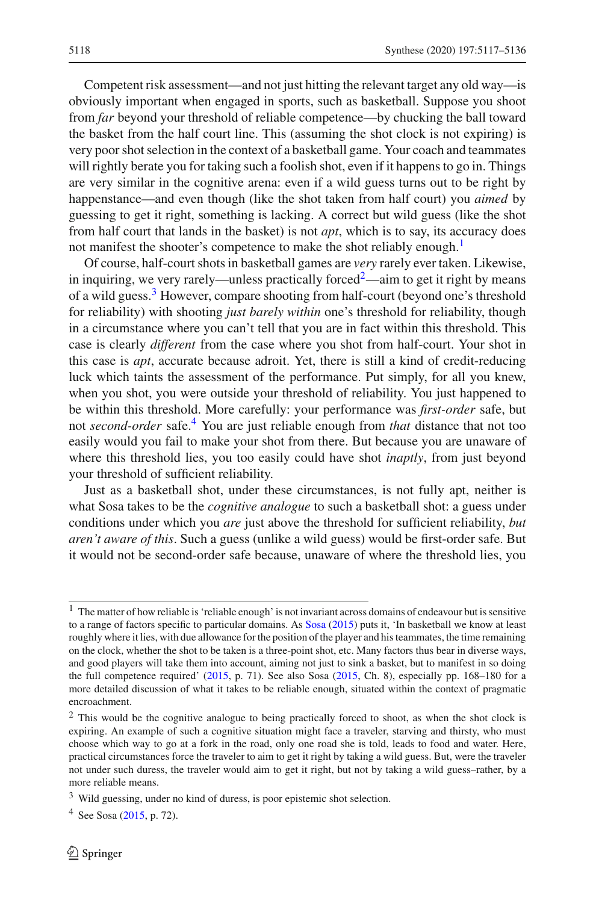Competent risk assessment—and not just hitting the relevant target any old way—is obviously important when engaged in sports, such as basketball. Suppose you shoot from *far* beyond your threshold of reliable competence—by chucking the ball toward the basket from the half court line. This (assuming the shot clock is not expiring) is very poor shot selection in the context of a basketball game. Your coach and teammates will rightly berate you for taking such a foolish shot, even if it happens to go in. Things are very similar in the cognitive arena: even if a wild guess turns out to be right by happenstance—and even though (like the shot taken from half court) you *aimed* by guessing to get it right, something is lacking. A correct but wild guess (like the shot from half court that lands in the basket) is not *apt*, which is to say, its accuracy does not manifest the shooter's competence to make the shot reliably enough.<sup>1</sup>

Of course, half-court shots in basketball games are *very* rarely ever taken. Likewise, in inquiring, we very rarely—unless practically forced $\alpha$ <sup>[2](#page-1-1)</sup>—aim to get it right by means of a wild guess.<sup>3</sup> However, compare shooting from half-court (beyond one's threshold for reliability) with shooting *just barely within* one's threshold for reliability, though in a circumstance where you can't tell that you are in fact within this threshold. This case is clearly *different* from the case where you shot from half-court. Your shot in this case is *apt*, accurate because adroit. Yet, there is still a kind of credit-reducing luck which taints the assessment of the performance. Put simply, for all you knew, when you shot, you were outside your threshold of reliability. You just happened to be within this threshold. More carefully: your performance was *first-order* safe, but not *second-order* safe.[4](#page-1-3) You are just reliable enough from *that* distance that not too easily would you fail to make your shot from there. But because you are unaware of where this threshold lies, you too easily could have shot *inaptly*, from just beyond your threshold of sufficient reliability.

Just as a basketball shot, under these circumstances, is not fully apt, neither is what Sosa takes to be the *cognitive analogue* to such a basketball shot: a guess under conditions under which you *are* just above the threshold for sufficient reliability, *but aren't aware of this*. Such a guess (unlike a wild guess) would be first-order safe. But it would not be second-order safe because, unaware of where the threshold lies, you

<span id="page-1-0"></span><sup>&</sup>lt;sup>1</sup> The matter of how reliable is 'reliable enough' is not invariant across domains of endeavour but is sensitive to a range of factors specific to particular domains. As [Sosa](#page-18-0) [\(2015](#page-18-0)) puts it, 'In basketball we know at least roughly where it lies, with due allowance for the position of the player and his teammates, the time remaining on the clock, whether the shot to be taken is a three-point shot, etc. Many factors thus bear in diverse ways, and good players will take them into account, aiming not just to sink a basket, but to manifest in so doing the full competence required' [\(2015,](#page-18-0) p. 71). See also Sosa [\(2015,](#page-18-0) Ch. 8), especially pp. 168–180 for a more detailed discussion of what it takes to be reliable enough, situated within the context of pragmatic encroachment.

<span id="page-1-1"></span><sup>&</sup>lt;sup>2</sup> This would be the cognitive analogue to being practically forced to shoot, as when the shot clock is expiring. An example of such a cognitive situation might face a traveler, starving and thirsty, who must choose which way to go at a fork in the road, only one road she is told, leads to food and water. Here, practical circumstances force the traveler to aim to get it right by taking a wild guess. But, were the traveler not under such duress, the traveler would aim to get it right, but not by taking a wild guess–rather, by a more reliable means.

<span id="page-1-2"></span><sup>3</sup> Wild guessing, under no kind of duress, is poor epistemic shot selection.

<span id="page-1-3"></span> $4$  See Sosa [\(2015,](#page-18-0) p. 72).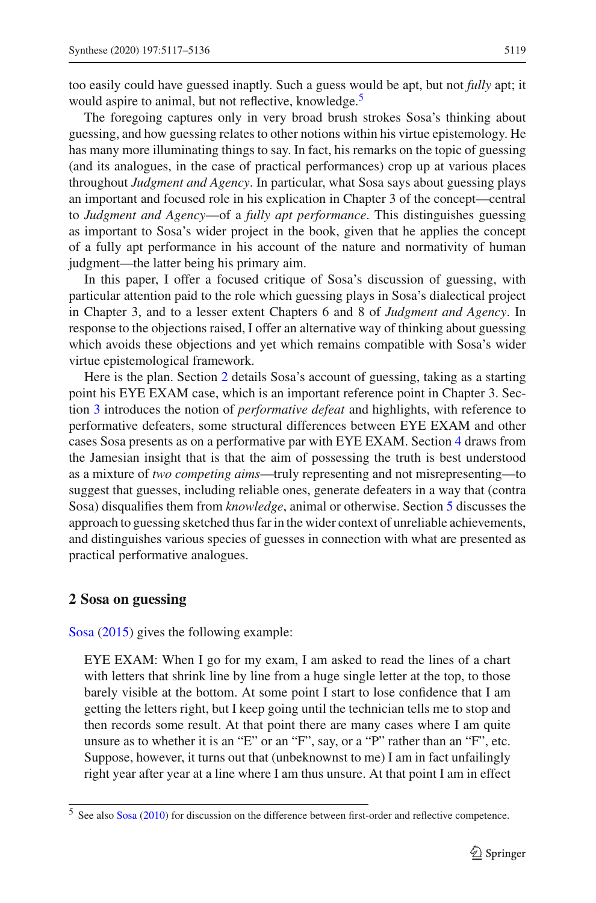too easily could have guessed inaptly. Such a guess would be apt, but not *fully* apt; it would aspire to animal, but not reflective, knowledge.<sup>5</sup>

The foregoing captures only in very broad brush strokes Sosa's thinking about guessing, and how guessing relates to other notions within his virtue epistemology. He has many more illuminating things to say. In fact, his remarks on the topic of guessing (and its analogues, in the case of practical performances) crop up at various places throughout *Judgment and Agency*. In particular, what Sosa says about guessing plays an important and focused role in his explication in Chapter 3 of the concept—central to *Judgment and Agency*—of a *fully apt performance*. This distinguishes guessing as important to Sosa's wider project in the book, given that he applies the concept of a fully apt performance in his account of the nature and normativity of human judgment—the latter being his primary aim.

In this paper, I offer a focused critique of Sosa's discussion of guessing, with particular attention paid to the role which guessing plays in Sosa's dialectical project in Chapter 3, and to a lesser extent Chapters 6 and 8 of *Judgment and Agency*. In response to the objections raised, I offer an alternative way of thinking about guessing which avoids these objections and yet which remains compatible with Sosa's wider virtue epistemological framework.

Here is the plan. Section [2](#page-2-1) details Sosa's account of guessing, taking as a starting point his EYE EXAM case, which is an important reference point in Chapter 3. Section [3](#page-4-0) introduces the notion of *performative defeat* and highlights, with reference to performative defeaters, some structural differences between EYE EXAM and other cases Sosa presents as on a performative par with EYE EXAM. Section [4](#page-7-0) draws from the Jamesian insight that is that the aim of possessing the truth is best understood as a mixture of *two competing aims*—truly representing and not misrepresenting—to suggest that guesses, including reliable ones, generate defeaters in a way that (contra Sosa) disqualifies them from *knowledge*, animal or otherwise. Section [5](#page-11-0) discusses the approach to guessing sketched thus far in the wider context of unreliable achievements, and distinguishes various species of guesses in connection with what are presented as practical performative analogues.

#### <span id="page-2-1"></span>**2 Sosa on guessing**

Sosa [\(2015](#page-18-0)) gives the following example:

EYE EXAM: When I go for my exam, I am asked to read the lines of a chart with letters that shrink line by line from a huge single letter at the top, to those barely visible at the bottom. At some point I start to lose confidence that I am getting the letters right, but I keep going until the technician tells me to stop and then records some result. At that point there are many cases where I am quite unsure as to whether it is an "E" or an "F", say, or a "P" rather than an "F", etc. Suppose, however, it turns out that (unbeknownst to me) I am in fact unfailingly right year after year at a line where I am thus unsure. At that point I am in effect

<span id="page-2-0"></span><sup>5</sup> See also [Sosa](#page-18-1) [\(2010\)](#page-18-1) for discussion on the difference between first-order and reflective competence.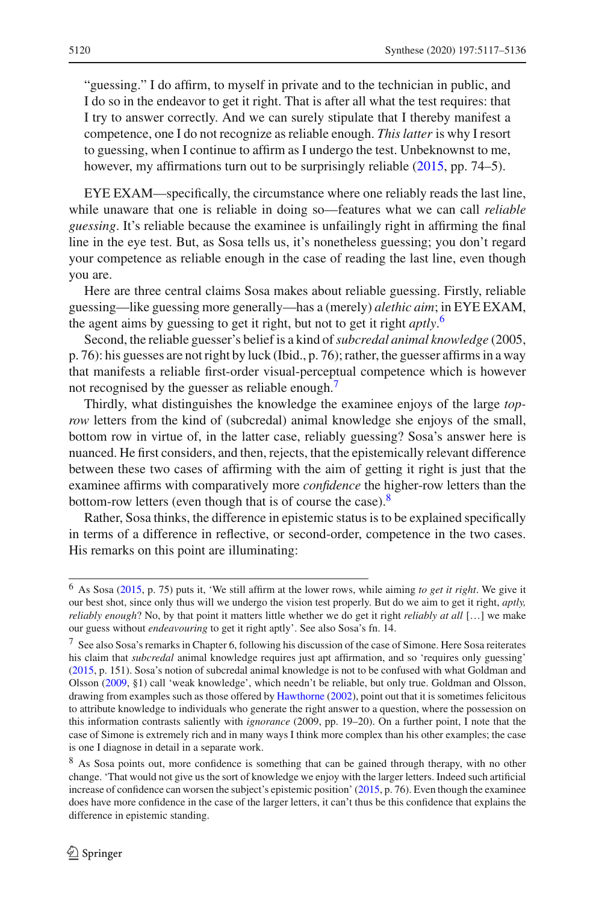"guessing." I do affirm, to myself in private and to the technician in public, and I do so in the endeavor to get it right. That is after all what the test requires: that I try to answer correctly. And we can surely stipulate that I thereby manifest a competence, one I do not recognize as reliable enough. *This latter* is why I resort to guessing, when I continue to affirm as I undergo the test. Unbeknownst to me, however, my affirmations turn out to be surprisingly reliable [\(2015,](#page-18-0) pp. 74–5).

EYE EXAM—specifically, the circumstance where one reliably reads the last line, while unaware that one is reliable in doing so—features what we can call *reliable guessing*. It's reliable because the examinee is unfailingly right in affirming the final line in the eye test. But, as Sosa tells us, it's nonetheless guessing; you don't regard your competence as reliable enough in the case of reading the last line, even though you are.

Here are three central claims Sosa makes about reliable guessing. Firstly, reliable guessing—like guessing more generally—has a (merely) *alethic aim*; in EYE EXAM, the agent aims by guessing to get it right, but not to get it right *aptly*. [6](#page-3-0)

Second, the reliable guesser's belief is a kind of*subcredal animal knowledge* (2005, p. 76): his guesses are not right by luck (Ibid., p. 76); rather, the guesser affirms in a way that manifests a reliable first-order visual-perceptual competence which is however not recognised by the guesser as reliable enough.<sup>7</sup>

Thirdly, what distinguishes the knowledge the examinee enjoys of the large *toprow* letters from the kind of (subcredal) animal knowledge she enjoys of the small, bottom row in virtue of, in the latter case, reliably guessing? Sosa's answer here is nuanced. He first considers, and then, rejects, that the epistemically relevant difference between these two cases of affirming with the aim of getting it right is just that the examinee affirms with comparatively more *confidence* the higher-row letters than the bottom-row letters (even though that is of course the case).<sup>8</sup>

Rather, Sosa thinks, the difference in epistemic status is to be explained specifically in terms of a difference in reflective, or second-order, competence in the two cases. His remarks on this point are illuminating:

<span id="page-3-0"></span><sup>6</sup> As Sosa [\(2015,](#page-18-0) p. 75) puts it, 'We still affirm at the lower rows, while aiming *to get it right*. We give it our best shot, since only thus will we undergo the vision test properly. But do we aim to get it right, *aptly, reliably enough*? No, by that point it matters little whether we do get it right *reliably at all* […] we make our guess without *endeavouring* to get it right aptly'. See also Sosa's fn. 14.

<span id="page-3-1"></span> $^7$  See also Sosa's remarks in Chapter 6, following his discussion of the case of Simone. Here Sosa reiterates his claim that *subcredal* animal knowledge requires just apt affirmation, and so 'requires only guessing' [\(2015](#page-18-0), p. 151). Sosa's notion of subcredal animal knowledge is not to be confused with what Goldman and Olsson [\(2009,](#page-18-2) §1) call 'weak knowledge', which needn't be reliable, but only true. Goldman and Olsson, drawing from examples such as those offered by [Hawthorne](#page-18-3) [\(2002\)](#page-18-3), point out that it is sometimes felicitous to attribute knowledge to individuals who generate the right answer to a question, where the possession on this information contrasts saliently with *ignorance* (2009, pp. 19–20). On a further point, I note that the case of Simone is extremely rich and in many ways I think more complex than his other examples; the case is one I diagnose in detail in a separate work.

<span id="page-3-2"></span><sup>&</sup>lt;sup>8</sup> As Sosa points out, more confidence is something that can be gained through therapy, with no other change. 'That would not give us the sort of knowledge we enjoy with the larger letters. Indeed such artificial increase of confidence can worsen the subject's epistemic position' [\(2015](#page-18-0), p. 76). Even though the examinee does have more confidence in the case of the larger letters, it can't thus be this confidence that explains the difference in epistemic standing.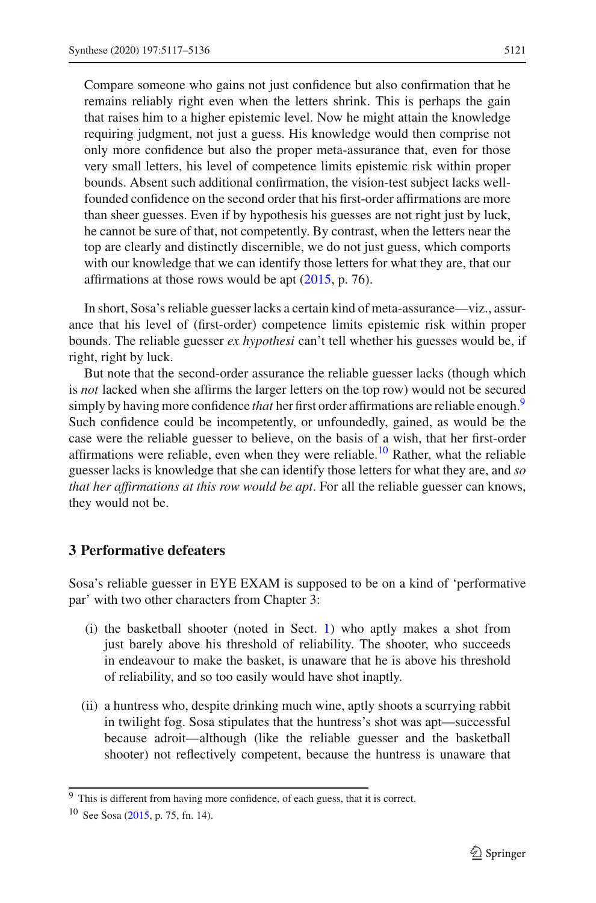Compare someone who gains not just confidence but also confirmation that he remains reliably right even when the letters shrink. This is perhaps the gain that raises him to a higher epistemic level. Now he might attain the knowledge requiring judgment, not just a guess. His knowledge would then comprise not only more confidence but also the proper meta-assurance that, even for those very small letters, his level of competence limits epistemic risk within proper bounds. Absent such additional confirmation, the vision-test subject lacks wellfounded confidence on the second order that his first-order affirmations are more than sheer guesses. Even if by hypothesis his guesses are not right just by luck, he cannot be sure of that, not competently. By contrast, when the letters near the top are clearly and distinctly discernible, we do not just guess, which comports with our knowledge that we can identify those letters for what they are, that our affirmations at those rows would be apt  $(2015, p. 76)$  $(2015, p. 76)$ .

In short, Sosa's reliable guesser lacks a certain kind of meta-assurance—viz., assurance that his level of (first-order) competence limits epistemic risk within proper bounds. The reliable guesser *ex hypothesi* can't tell whether his guesses would be, if right, right by luck.

But note that the second-order assurance the reliable guesser lacks (though which is *not* lacked when she affirms the larger letters on the top row) would not be secured simply by having more confidence *that* her first order affirmations are reliable enough.<sup>[9](#page-4-1)</sup> Such confidence could be incompetently, or unfoundedly, gained, as would be the case were the reliable guesser to believe, on the basis of a wish, that her first-order affirmations were reliable, even when they were reliable.<sup>10</sup> Rather, what the reliable guesser lacks is knowledge that she can identify those letters for what they are, and *so that her affirmations at this row would be apt*. For all the reliable guesser can knows, they would not be.

### <span id="page-4-0"></span>**3 Performative defeaters**

Sosa's reliable guesser in EYE EXAM is supposed to be on a kind of 'performative par' with two other characters from Chapter 3:

- (i) the basketball shooter (noted in Sect. [1\)](#page-0-0) who aptly makes a shot from just barely above his threshold of reliability. The shooter, who succeeds in endeavour to make the basket, is unaware that he is above his threshold of reliability, and so too easily would have shot inaptly.
- (ii) a huntress who, despite drinking much wine, aptly shoots a scurrying rabbit in twilight fog. Sosa stipulates that the huntress's shot was apt—successful because adroit—although (like the reliable guesser and the basketball shooter) not reflectively competent, because the huntress is unaware that

<span id="page-4-1"></span><sup>&</sup>lt;sup>9</sup> This is different from having more confidence, of each guess, that it is correct.

<span id="page-4-2"></span><sup>10</sup> See Sosa [\(2015](#page-18-0), p. 75, fn. 14).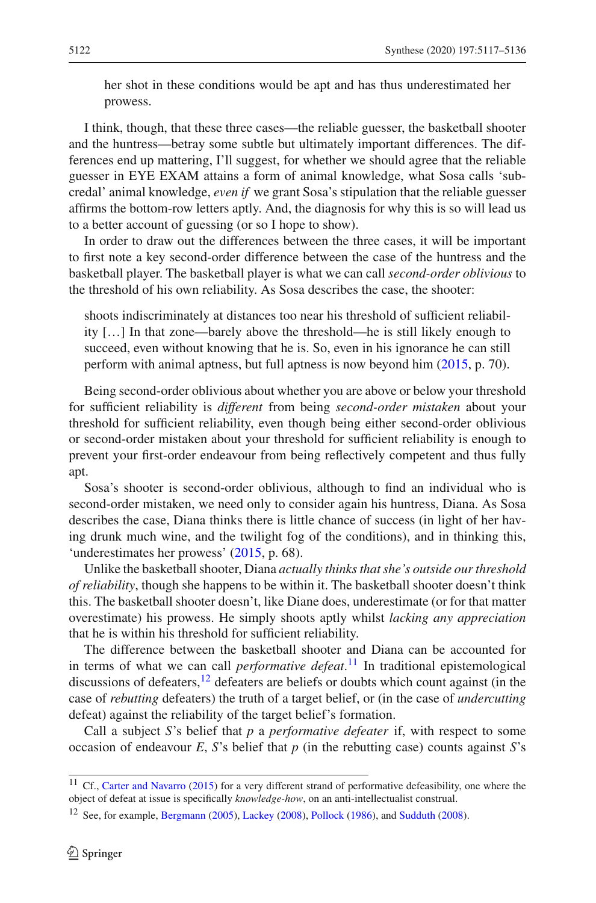her shot in these conditions would be apt and has thus underestimated her prowess.

I think, though, that these three cases—the reliable guesser, the basketball shooter and the huntress—betray some subtle but ultimately important differences. The differences end up mattering, I'll suggest, for whether we should agree that the reliable guesser in EYE EXAM attains a form of animal knowledge, what Sosa calls 'subcredal' animal knowledge, *even if* we grant Sosa's stipulation that the reliable guesser affirms the bottom-row letters aptly. And, the diagnosis for why this is so will lead us to a better account of guessing (or so I hope to show).

In order to draw out the differences between the three cases, it will be important to first note a key second-order difference between the case of the huntress and the basketball player. The basketball player is what we can call *second-order oblivious* to the threshold of his own reliability. As Sosa describes the case, the shooter:

shoots indiscriminately at distances too near his threshold of sufficient reliability […] In that zone—barely above the threshold—he is still likely enough to succeed, even without knowing that he is. So, even in his ignorance he can still perform with animal aptness, but full aptness is now beyond him [\(2015](#page-18-0), p. 70).

Being second-order oblivious about whether you are above or below your threshold for sufficient reliability is *different* from being *second-order mistaken* about your threshold for sufficient reliability, even though being either second-order oblivious or second-order mistaken about your threshold for sufficient reliability is enough to prevent your first-order endeavour from being reflectively competent and thus fully apt.

Sosa's shooter is second-order oblivious, although to find an individual who is second-order mistaken, we need only to consider again his huntress, Diana. As Sosa describes the case, Diana thinks there is little chance of success (in light of her having drunk much wine, and the twilight fog of the conditions), and in thinking this, 'underestimates her prowess' [\(2015,](#page-18-0) p. 68).

Unlike the basketball shooter, Diana *actually thinks that she's outside our threshold of reliability*, though she happens to be within it. The basketball shooter doesn't think this. The basketball shooter doesn't, like Diane does, underestimate (or for that matter overestimate) his prowess. He simply shoots aptly whilst *lacking any appreciation* that he is within his threshold for sufficient reliability.

The difference between the basketball shooter and Diana can be accounted for in terms of what we can call *performative defeat*. [11](#page-5-0) In traditional epistemological discussions of defeaters,  $12$  defeaters are beliefs or doubts which count against (in the case of *rebutting* defeaters) the truth of a target belief, or (in the case of *undercutting* defeat) against the reliability of the target belief's formation.

Call a subject *S*'s belief that *p* a *performative defeater* if, with respect to some occasion of endeavour *E*, *S*'s belief that  $p$  (in the rebutting case) counts against *S*'s

<span id="page-5-0"></span><sup>&</sup>lt;sup>11</sup> Cf., [Carter and Navarro](#page-18-4) [\(2015\)](#page-18-4) for a very different strand of performative defeasibility, one where the object of defeat at issue is specifically *knowledge-how*, on an anti-intellectualist construal.

<span id="page-5-1"></span><sup>&</sup>lt;sup>12</sup> See, for example, [Bergmann](#page-18-5) [\(2005](#page-18-5)), [Lackey](#page-18-6) [\(2008\)](#page-18-8), [Pollock](#page-18-7) [\(1986](#page-18-7)), and [Sudduth](#page-18-8) (2008).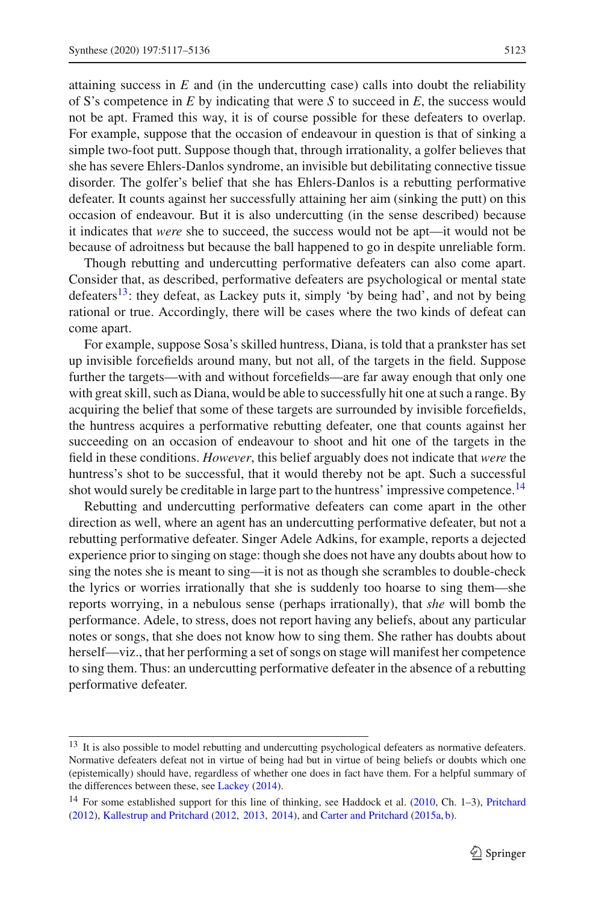attaining success in *E* and (in the undercutting case) calls into doubt the reliability of S's competence in *E* by indicating that were *S* to succeed in *E*, the success would not be apt. Framed this way, it is of course possible for these defeaters to overlap. For example, suppose that the occasion of endeavour in question is that of sinking a simple two-foot putt. Suppose though that, through irrationality, a golfer believes that she has severe Ehlers-Danlos syndrome, an invisible but debilitating connective tissue disorder. The golfer's belief that she has Ehlers-Danlos is a rebutting performative defeater. It counts against her successfully attaining her aim (sinking the putt) on this occasion of endeavour. But it is also undercutting (in the sense described) because it indicates that *were* she to succeed, the success would not be apt—it would not be because of adroitness but because the ball happened to go in despite unreliable form.

Though rebutting and undercutting performative defeaters can also come apart. Consider that, as described, performative defeaters are psychological or mental state defeaters<sup>13</sup>: they defeat, as Lackey puts it, simply 'by being had', and not by being rational or true. Accordingly, there will be cases where the two kinds of defeat can come apart.

For example, suppose Sosa's skilled huntress, Diana, is told that a prankster has set up invisible forcefields around many, but not all, of the targets in the field. Suppose further the targets—with and without forcefields—are far away enough that only one with great skill, such as Diana, would be able to successfully hit one at such a range. By acquiring the belief that some of these targets are surrounded by invisible forcefields, the huntress acquires a performative rebutting defeater, one that counts against her succeeding on an occasion of endeavour to shoot and hit one of the targets in the field in these conditions. *However*, this belief arguably does not indicate that *were* the huntress's shot to be successful, that it would thereby not be apt. Such a successful shot would surely be creditable in large part to the huntress' impressive competence.<sup>14</sup>

Rebutting and undercutting performative defeaters can come apart in the other direction as well, where an agent has an undercutting performative defeater, but not a rebutting performative defeater. Singer Adele Adkins, for example, reports a dejected experience prior to singing on stage: though she does not have any doubts about how to sing the notes she is meant to sing—it is not as though she scrambles to double-check the lyrics or worries irrationally that she is suddenly too hoarse to sing them—she reports worrying, in a nebulous sense (perhaps irrationally), that *she* will bomb the performance. Adele, to stress, does not report having any beliefs, about any particular notes or songs, that she does not know how to sing them. She rather has doubts about herself—viz., that her performing a set of songs on stage will manifest her competence to sing them. Thus: an undercutting performative defeater in the absence of a rebutting performative defeater.

<span id="page-6-0"></span><sup>&</sup>lt;sup>13</sup> It is also possible to model rebutting and undercutting psychological defeaters as normative defeaters. Normative defeaters defeat not in virtue of being had but in virtue of being beliefs or doubts which one (epistemically) should have, regardless of whether one does in fact have them. For a helpful summary of the differences between these, see [Lackey](#page-18-9) [\(2014\)](#page-18-9).

<span id="page-6-1"></span><sup>&</sup>lt;sup>14</sup> For some established support for this line of thinking, see Haddock et al. [\(2010](#page-18-10), Ch. 1–3), [Pritchard](#page-18-11) [\(2012](#page-18-11)), [Kallestrup and Pritchard](#page-18-12) [\(2012](#page-18-12), [2013](#page-18-13), [2014](#page-18-14)), and [Carter and Pritchard](#page-18-15) [\(2015a](#page-18-15), [b](#page-18-16)).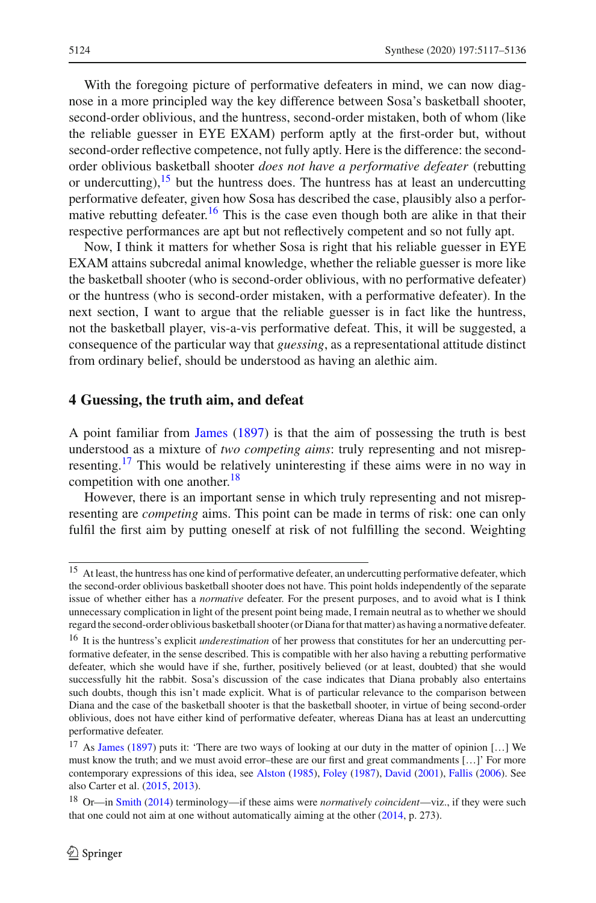With the foregoing picture of performative defeaters in mind, we can now diagnose in a more principled way the key difference between Sosa's basketball shooter, second-order oblivious, and the huntress, second-order mistaken, both of whom (like the reliable guesser in EYE EXAM) perform aptly at the first-order but, without second-order reflective competence, not fully aptly. Here is the difference: the secondorder oblivious basketball shooter *does not have a performative defeater* (rebutting or undercutting),  $15$  but the huntress does. The huntress has at least an undercutting performative defeater, given how Sosa has described the case, plausibly also a perfor-mative rebutting defeater.<sup>[16](#page-7-2)</sup> This is the case even though both are alike in that their respective performances are apt but not reflectively competent and so not fully apt.

Now, I think it matters for whether Sosa is right that his reliable guesser in EYE EXAM attains subcredal animal knowledge, whether the reliable guesser is more like the basketball shooter (who is second-order oblivious, with no performative defeater) or the huntress (who is second-order mistaken, with a performative defeater). In the next section, I want to argue that the reliable guesser is in fact like the huntress, not the basketball player, vis-a-vis performative defeat. This, it will be suggested, a consequence of the particular way that *guessing*, as a representational attitude distinct from ordinary belief, should be understood as having an alethic aim.

#### <span id="page-7-0"></span>**4 Guessing, the truth aim, and defeat**

A point familiar from [James](#page-18-17) [\(1897](#page-18-17)) is that the aim of possessing the truth is best understood as a mixture of *two competing aims*: truly representing and not misrepresenting.[17](#page-7-3) This would be relatively uninteresting if these aims were in no way in competition with one another. $18$ 

However, there is an important sense in which truly representing and not misrepresenting are *competing* aims. This point can be made in terms of risk: one can only fulfil the first aim by putting oneself at risk of not fulfilling the second. Weighting

<span id="page-7-1"></span><sup>&</sup>lt;sup>15</sup> At least, the huntress has one kind of performative defeater, an undercutting performative defeater, which the second-order oblivious basketball shooter does not have. This point holds independently of the separate issue of whether either has a *normative* defeater. For the present purposes, and to avoid what is I think unnecessary complication in light of the present point being made, I remain neutral as to whether we should regard the second-order oblivious basketball shooter (or Diana for that matter) as having a normative defeater.

<span id="page-7-2"></span><sup>16</sup> It is the huntress's explicit *underestimation* of her prowess that constitutes for her an undercutting performative defeater, in the sense described. This is compatible with her also having a rebutting performative defeater, which she would have if she, further, positively believed (or at least, doubted) that she would successfully hit the rabbit. Sosa's discussion of the case indicates that Diana probably also entertains such doubts, though this isn't made explicit. What is of particular relevance to the comparison between Diana and the case of the basketball shooter is that the basketball shooter, in virtue of being second-order oblivious, does not have either kind of performative defeater, whereas Diana has at least an undercutting performative defeater.

<span id="page-7-3"></span><sup>&</sup>lt;sup>17</sup> As [James](#page-18-17) [\(1897\)](#page-18-17) puts it: 'There are two ways of looking at our duty in the matter of opinion [...] We must know the truth; and we must avoid error–these are our first and great commandments […]' For more contemporary expressions of this idea, see [Alston](#page-18-18) [\(1985](#page-18-18)), [Foley](#page-18-19) [\(1987](#page-18-19)), [David](#page-18-20) [\(2001](#page-18-20)), [Fallis](#page-18-21) [\(2006\)](#page-18-21). See also Carter et al. [\(2015,](#page-18-22) [2013](#page-18-23)).

<span id="page-7-4"></span><sup>18</sup> Or—in [Smith](#page-18-24) [\(2014](#page-18-24)) terminology—if these aims were *normatively coincident*—viz., if they were such that one could not aim at one without automatically aiming at the other [\(2014,](#page-18-24) p. 273).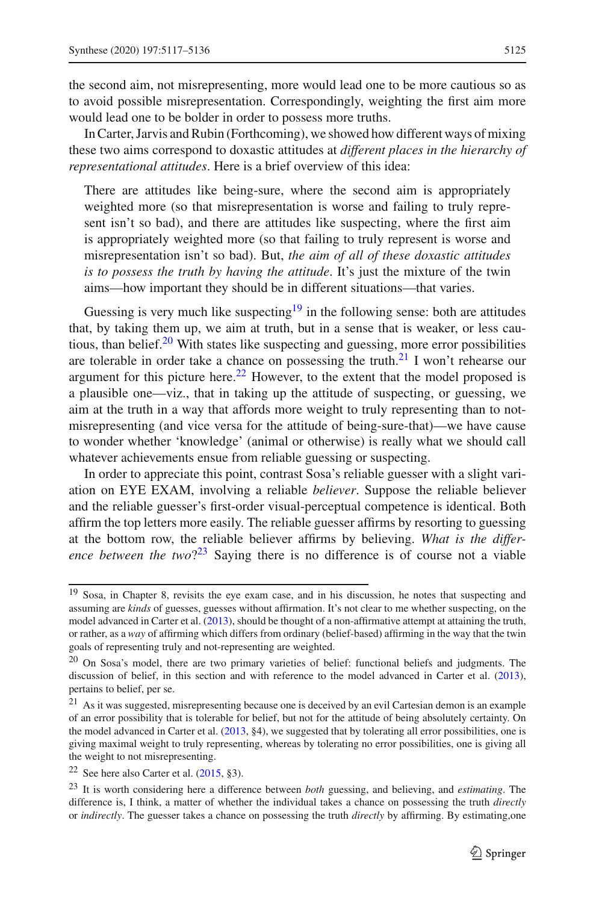the second aim, not misrepresenting, more would lead one to be more cautious so as to avoid possible misrepresentation. Correspondingly, weighting the first aim more would lead one to be bolder in order to possess more truths.

In Carter, Jarvis and Rubin (Forthcoming), we showed how different ways of mixing these two aims correspond to doxastic attitudes at *different places in the hierarchy of representational attitudes*. Here is a brief overview of this idea:

There are attitudes like being-sure, where the second aim is appropriately weighted more (so that misrepresentation is worse and failing to truly represent isn't so bad), and there are attitudes like suspecting, where the first aim is appropriately weighted more (so that failing to truly represent is worse and misrepresentation isn't so bad). But, *the aim of all of these doxastic attitudes is to possess the truth by having the attitude*. It's just the mixture of the twin aims—how important they should be in different situations—that varies.

Guessing is very much like suspecting<sup>19</sup> in the following sense: both are attitudes that, by taking them up, we aim at truth, but in a sense that is weaker, or less cautious, than belief. $20$  With states like suspecting and guessing, more error possibilities are tolerable in order take a chance on possessing the truth.<sup>21</sup> I won't rehearse our argument for this picture here.<sup>[22](#page-8-3)</sup> However, to the extent that the model proposed is a plausible one—viz., that in taking up the attitude of suspecting, or guessing, we aim at the truth in a way that affords more weight to truly representing than to notmisrepresenting (and vice versa for the attitude of being-sure-that)—we have cause to wonder whether 'knowledge' (animal or otherwise) is really what we should call whatever achievements ensue from reliable guessing or suspecting.

In order to appreciate this point, contrast Sosa's reliable guesser with a slight variation on EYE EXAM, involving a reliable *believer*. Suppose the reliable believer and the reliable guesser's first-order visual-perceptual competence is identical. Both affirm the top letters more easily. The reliable guesser affirms by resorting to guessing at the bottom row, the reliable believer affirms by believing. *What is the difference between the two*?<sup>23</sup> Saying there is no difference is of course not a viable

<span id="page-8-0"></span><sup>&</sup>lt;sup>19</sup> Sosa, in Chapter 8, revisits the eye exam case, and in his discussion, he notes that suspecting and assuming are *kinds* of guesses, guesses without affirmation. It's not clear to me whether suspecting, on the model advanced in Carter et al. [\(2013\)](#page-18-23), should be thought of a non-affirmative attempt at attaining the truth, or rather, as a *way* of affirming which differs from ordinary (belief-based) affirming in the way that the twin goals of representing truly and not-representing are weighted.

<span id="page-8-1"></span><sup>&</sup>lt;sup>20</sup> On Sosa's model, there are two primary varieties of belief: functional beliefs and judgments. The discussion of belief, in this section and with reference to the model advanced in Carter et al. [\(2013](#page-18-23)), pertains to belief, per se.

<span id="page-8-2"></span><sup>21</sup> As it was suggested, misrepresenting because one is deceived by an evil Cartesian demon is an example of an error possibility that is tolerable for belief, but not for the attitude of being absolutely certainty. On the model advanced in Carter et al. [\(2013,](#page-18-23) §4), we suggested that by tolerating all error possibilities, one is giving maximal weight to truly representing, whereas by tolerating no error possibilities, one is giving all the weight to not misrepresenting.

<span id="page-8-3"></span><sup>&</sup>lt;sup>22</sup> See here also Carter et al.  $(2015, §3)$  $(2015, §3)$ .

<span id="page-8-4"></span><sup>23</sup> It is worth considering here a difference between *both* guessing, and believing, and *estimating*. The difference is, I think, a matter of whether the individual takes a chance on possessing the truth *directly* or *indirectly*. The guesser takes a chance on possessing the truth *directly* by affirming. By estimating,one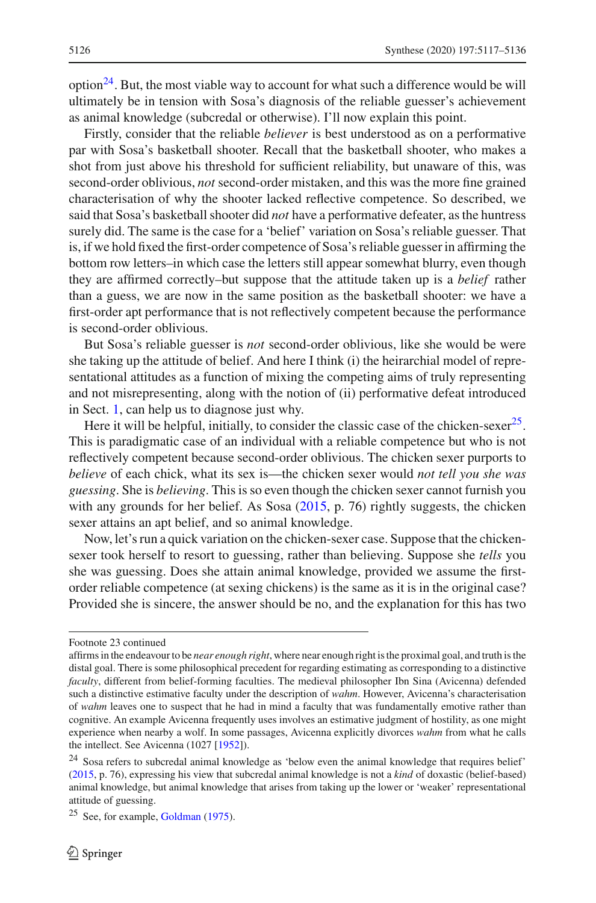$option<sup>24</sup>$ . But, the most viable way to account for what such a difference would be will ultimately be in tension with Sosa's diagnosis of the reliable guesser's achievement as animal knowledge (subcredal or otherwise). I'll now explain this point.

Firstly, consider that the reliable *believer* is best understood as on a performative par with Sosa's basketball shooter. Recall that the basketball shooter, who makes a shot from just above his threshold for sufficient reliability, but unaware of this, was second-order oblivious, *not* second-order mistaken, and this was the more fine grained characterisation of why the shooter lacked reflective competence. So described, we said that Sosa's basketball shooter did *not* have a performative defeater, as the huntress surely did. The same is the case for a 'belief' variation on Sosa's reliable guesser. That is, if we hold fixed the first-order competence of Sosa's reliable guesser in affirming the bottom row letters–in which case the letters still appear somewhat blurry, even though they are affirmed correctly–but suppose that the attitude taken up is a *belief* rather than a guess, we are now in the same position as the basketball shooter: we have a first-order apt performance that is not reflectively competent because the performance is second-order oblivious.

But Sosa's reliable guesser is *not* second-order oblivious, like she would be were she taking up the attitude of belief. And here I think (i) the heirarchial model of representational attitudes as a function of mixing the competing aims of truly representing and not misrepresenting, along with the notion of (ii) performative defeat introduced in Sect. [1,](#page-0-0) can help us to diagnose just why.

Here it will be helpful, initially, to consider the classic case of the chicken-sexer<sup>25</sup>. This is paradigmatic case of an individual with a reliable competence but who is not reflectively competent because second-order oblivious. The chicken sexer purports to *believe* of each chick, what its sex is—the chicken sexer would *not tell you she was guessing*. She is *believing*. This is so even though the chicken sexer cannot furnish you with any grounds for her belief. As Sosa [\(2015](#page-18-0), p. 76) rightly suggests, the chicken sexer attains an apt belief, and so animal knowledge.

Now, let's run a quick variation on the chicken-sexer case. Suppose that the chickensexer took herself to resort to guessing, rather than believing. Suppose she *tells* you she was guessing. Does she attain animal knowledge, provided we assume the firstorder reliable competence (at sexing chickens) is the same as it is in the original case? Provided she is sincere, the answer should be no, and the explanation for this has two

Footnote 23 continued

affirms in the endeavour to be *near enough right*, where near enough right is the proximal goal, and truth is the distal goal. There is some philosophical precedent for regarding estimating as corresponding to a distinctive *faculty*, different from belief-forming faculties. The medieval philosopher Ibn Sina (Avicenna) defended such a distinctive estimative faculty under the description of *wahm*. However, Avicenna's characterisation of *wahm* leaves one to suspect that he had in mind a faculty that was fundamentally emotive rather than cognitive. An example Avicenna frequently uses involves an estimative judgment of hostility, as one might experience when nearby a wolf. In some passages, Avicenna explicitly divorces *wahm* from what he calls the intellect. See Avicenna (1027 [\[1952\]](#page-18-25)).

<span id="page-9-0"></span><sup>24</sup> Sosa refers to subcredal animal knowledge as 'below even the animal knowledge that requires belief' [\(2015](#page-18-0), p. 76), expressing his view that subcredal animal knowledge is not a *kind* of doxastic (belief-based) animal knowledge, but animal knowledge that arises from taking up the lower or 'weaker' representational attitude of guessing.

<span id="page-9-1"></span> $25$  See, for example, [Goldman](#page-18-26) [\(1975](#page-18-26)).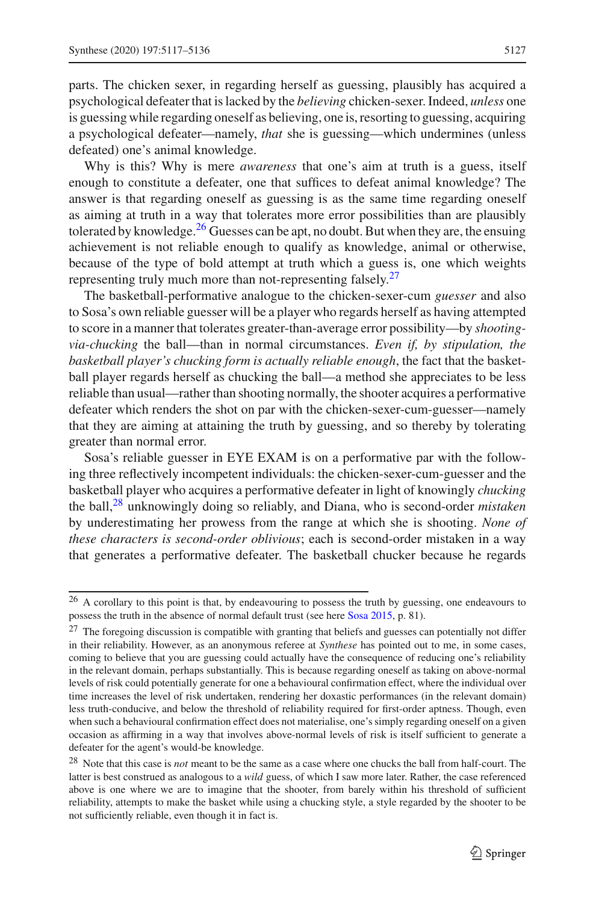parts. The chicken sexer, in regarding herself as guessing, plausibly has acquired a psychological defeater that is lacked by the *believing* chicken-sexer. Indeed, *unless* one is guessing while regarding oneself as believing, one is, resorting to guessing, acquiring a psychological defeater—namely, *that* she is guessing—which undermines (unless defeated) one's animal knowledge.

Why is this? Why is mere *awareness* that one's aim at truth is a guess, itself enough to constitute a defeater, one that suffices to defeat animal knowledge? The answer is that regarding oneself as guessing is as the same time regarding oneself as aiming at truth in a way that tolerates more error possibilities than are plausibly tolerated by knowledge.<sup>[26](#page-10-0)</sup> Guesses can be apt, no doubt. But when they are, the ensuing achievement is not reliable enough to qualify as knowledge, animal or otherwise, because of the type of bold attempt at truth which a guess is, one which weights representing truly much more than not-representing falsely. $27$ 

The basketball-performative analogue to the chicken-sexer-cum *guesser* and also to Sosa's own reliable guesser will be a player who regards herself as having attempted to score in a manner that tolerates greater-than-average error possibility—by *shootingvia-chucking* the ball—than in normal circumstances. *Even if, by stipulation, the basketball player's chucking form is actually reliable enough*, the fact that the basketball player regards herself as chucking the ball—a method she appreciates to be less reliable than usual—rather than shooting normally, the shooter acquires a performative defeater which renders the shot on par with the chicken-sexer-cum-guesser—namely that they are aiming at attaining the truth by guessing, and so thereby by tolerating greater than normal error.

Sosa's reliable guesser in EYE EXAM is on a performative par with the following three reflectively incompetent individuals: the chicken-sexer-cum-guesser and the basketball player who acquires a performative defeater in light of knowingly *chucking* the ball,[28](#page-10-2) unknowingly doing so reliably, and Diana, who is second-order *mistaken* by underestimating her prowess from the range at which she is shooting. *None of these characters is second-order oblivious*; each is second-order mistaken in a way that generates a performative defeater. The basketball chucker because he regards

<span id="page-10-0"></span><sup>&</sup>lt;sup>26</sup> A corollary to this point is that, by endeavouring to possess the truth by guessing, one endeavours to possess the truth in the absence of normal default trust (see here [Sosa 2015,](#page-18-0) p. 81).

<span id="page-10-1"></span><sup>&</sup>lt;sup>27</sup> The foregoing discussion is compatible with granting that beliefs and guesses can potentially not differ in their reliability. However, as an anonymous referee at *Synthese* has pointed out to me, in some cases, coming to believe that you are guessing could actually have the consequence of reducing one's reliability in the relevant domain, perhaps substantially. This is because regarding oneself as taking on above-normal levels of risk could potentially generate for one a behavioural confirmation effect, where the individual over time increases the level of risk undertaken, rendering her doxastic performances (in the relevant domain) less truth-conducive, and below the threshold of reliability required for first-order aptness. Though, even when such a behavioural confirmation effect does not materialise, one's simply regarding oneself on a given occasion as affirming in a way that involves above-normal levels of risk is itself sufficient to generate a defeater for the agent's would-be knowledge.

<span id="page-10-2"></span><sup>28</sup> Note that this case is *not* meant to be the same as a case where one chucks the ball from half-court. The latter is best construed as analogous to a *wild* guess, of which I saw more later. Rather, the case referenced above is one where we are to imagine that the shooter, from barely within his threshold of sufficient reliability, attempts to make the basket while using a chucking style, a style regarded by the shooter to be not sufficiently reliable, even though it in fact is.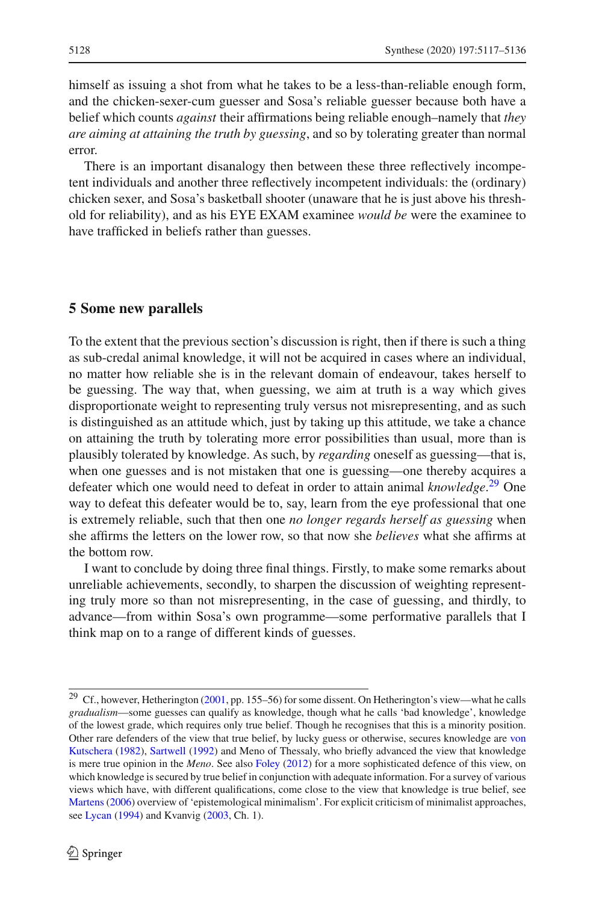himself as issuing a shot from what he takes to be a less-than-reliable enough form, and the chicken-sexer-cum guesser and Sosa's reliable guesser because both have a belief which counts *against* their affirmations being reliable enough–namely that *they are aiming at attaining the truth by guessing*, and so by tolerating greater than normal error.

There is an important disanalogy then between these three reflectively incompetent individuals and another three reflectively incompetent individuals: the (ordinary) chicken sexer, and Sosa's basketball shooter (unaware that he is just above his threshold for reliability), and as his EYE EXAM examinee *would be* were the examinee to have trafficked in beliefs rather than guesses.

#### <span id="page-11-0"></span>**5 Some new parallels**

To the extent that the previous section's discussion is right, then if there is such a thing as sub-credal animal knowledge, it will not be acquired in cases where an individual, no matter how reliable she is in the relevant domain of endeavour, takes herself to be guessing. The way that, when guessing, we aim at truth is a way which gives disproportionate weight to representing truly versus not misrepresenting, and as such is distinguished as an attitude which, just by taking up this attitude, we take a chance on attaining the truth by tolerating more error possibilities than usual, more than is plausibly tolerated by knowledge. As such, by *regarding* oneself as guessing—that is, when one guesses and is not mistaken that one is guessing—one thereby acquires a defeater which one would need to defeat in order to attain animal *knowledge*. [29](#page-11-1) One way to defeat this defeater would be to, say, learn from the eye professional that one is extremely reliable, such that then one *no longer regards herself as guessing* when she affirms the letters on the lower row, so that now she *believes* what she affirms at the bottom row.

I want to conclude by doing three final things. Firstly, to make some remarks about unreliable achievements, secondly, to sharpen the discussion of weighting representing truly more so than not misrepresenting, in the case of guessing, and thirdly, to advance—from within Sosa's own programme—some performative parallels that I think map on to a range of different kinds of guesses.

<span id="page-11-1"></span><sup>&</sup>lt;sup>29</sup> Cf., however, Hetherington  $(2001, pp. 155-56)$  $(2001, pp. 155-56)$  for some dissent. On Hetherington's view—what he calls *gradualism*—some guesses can qualify as knowledge, though what he calls 'bad knowledge', knowledge of the lowest grade, which requires only true belief. Though he recognises that this is a minority position. Other rar[e](#page-19-0) [defenders](#page-19-0) [of](#page-19-0) [the](#page-19-0) [view](#page-19-0) [that](#page-19-0) [true](#page-19-0) [belief,](#page-19-0) [by](#page-19-0) [lucky](#page-19-0) [guess](#page-19-0) [or](#page-19-0) [otherwise,](#page-19-0) [secures](#page-19-0) [knowledge](#page-19-0) [are](#page-19-0) von Kutschera [\(1982\)](#page-19-0), [Sartwell](#page-18-28) [\(1992](#page-18-28)) and Meno of Thessaly, who briefly advanced the view that knowledge is mere true opinion in the *Meno*. See also [Foley](#page-18-29) [\(2012](#page-18-29)) for a more sophisticated defence of this view, on which knowledge is secured by true belief in conjunction with adequate information. For a survey of various views which have, with different qualifications, come close to the view that knowledge is true belief, see [Martens](#page-18-30) [\(2006](#page-18-30)) overview of 'epistemological minimalism'. For explicit criticism of minimalist approaches, see [Lycan](#page-18-31) [\(1994\)](#page-18-31) and Kvanvig [\(2003,](#page-18-32) Ch. 1).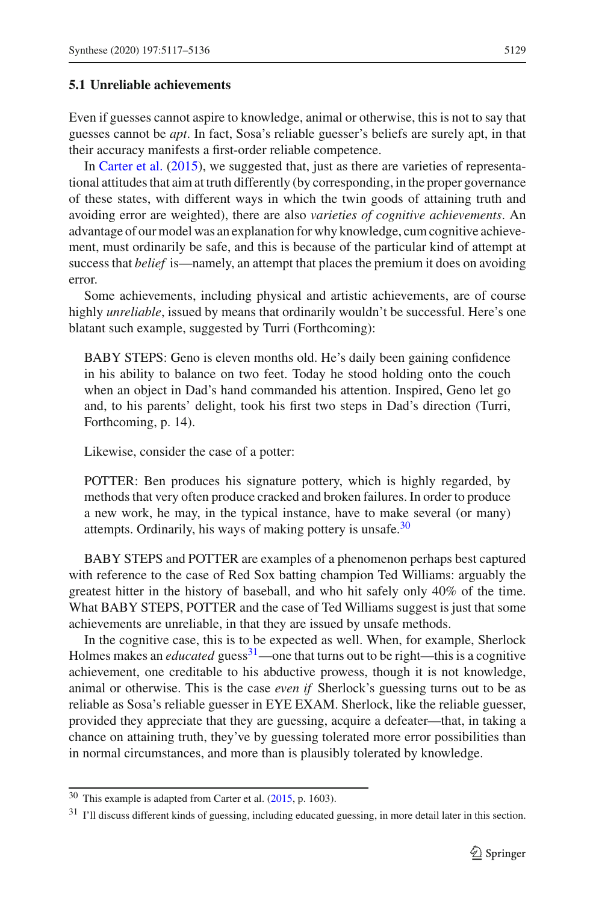#### **5.1 Unreliable achievements**

Even if guesses cannot aspire to knowledge, animal or otherwise, this is not to say that guesses cannot be *apt*. In fact, Sosa's reliable guesser's beliefs are surely apt, in that their accuracy manifests a first-order reliable competence.

In [Carter et al.](#page-18-22) [\(2015](#page-18-22)), we suggested that, just as there are varieties of representational attitudes that aim at truth differently (by corresponding, in the proper governance of these states, with different ways in which the twin goods of attaining truth and avoiding error are weighted), there are also *varieties of cognitive achievements*. An advantage of our model was an explanation for why knowledge, cum cognitive achievement, must ordinarily be safe, and this is because of the particular kind of attempt at success that *belief* is—namely, an attempt that places the premium it does on avoiding error.

Some achievements, including physical and artistic achievements, are of course highly *unreliable*, issued by means that ordinarily wouldn't be successful. Here's one blatant such example, suggested by Turri (Forthcoming):

BABY STEPS: Geno is eleven months old. He's daily been gaining confidence in his ability to balance on two feet. Today he stood holding onto the couch when an object in Dad's hand commanded his attention. Inspired, Geno let go and, to his parents' delight, took his first two steps in Dad's direction (Turri, Forthcoming, p. 14).

Likewise, consider the case of a potter:

POTTER: Ben produces his signature pottery, which is highly regarded, by methods that very often produce cracked and broken failures. In order to produce a new work, he may, in the typical instance, have to make several (or many) attempts. Ordinarily, his ways of making pottery is unsafe. $30$ 

BABY STEPS and POTTER are examples of a phenomenon perhaps best captured with reference to the case of Red Sox batting champion Ted Williams: arguably the greatest hitter in the history of baseball, and who hit safely only 40% of the time. What BABY STEPS, POTTER and the case of Ted Williams suggest is just that some achievements are unreliable, in that they are issued by unsafe methods.

In the cognitive case, this is to be expected as well. When, for example, Sherlock Holmes makes an *educated* guess<sup>31</sup>—one that turns out to be right—this is a cognitive achievement, one creditable to his abductive prowess, though it is not knowledge, animal or otherwise. This is the case *even if* Sherlock's guessing turns out to be as reliable as Sosa's reliable guesser in EYE EXAM. Sherlock, like the reliable guesser, provided they appreciate that they are guessing, acquire a defeater—that, in taking a chance on attaining truth, they've by guessing tolerated more error possibilities than in normal circumstances, and more than is plausibly tolerated by knowledge.

<span id="page-12-0"></span><sup>30</sup> This example is adapted from Carter et al. [\(2015,](#page-18-4) p. 1603).

<span id="page-12-1"></span><sup>31</sup> I'll discuss different kinds of guessing, including educated guessing, in more detail later in this section.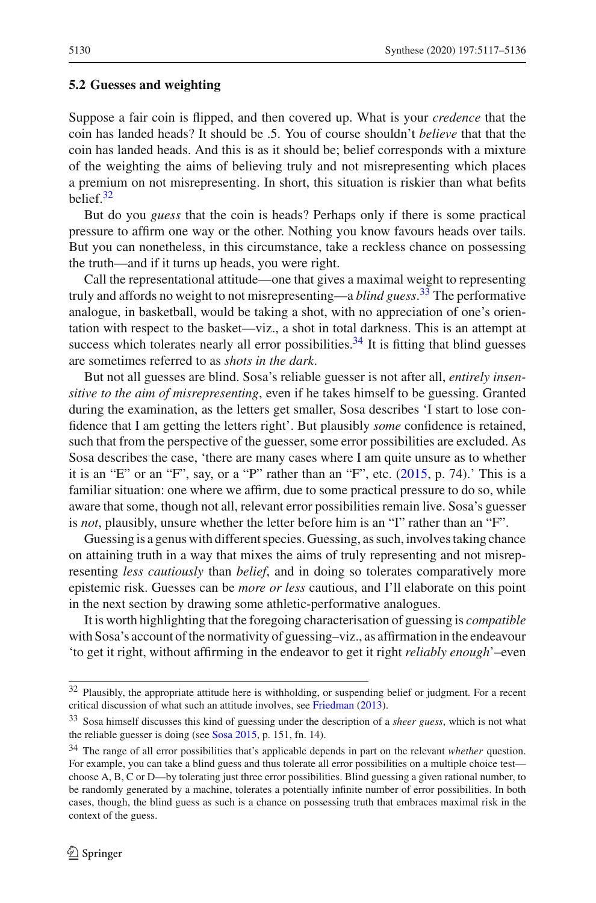#### **5.2 Guesses and weighting**

Suppose a fair coin is flipped, and then covered up. What is your *credence* that the coin has landed heads? It should be .5. You of course shouldn't *believe* that that the coin has landed heads. And this is as it should be; belief corresponds with a mixture of the weighting the aims of believing truly and not misrepresenting which places a premium on not misrepresenting. In short, this situation is riskier than what befits belief[.32](#page-13-0)

But do you *guess* that the coin is heads? Perhaps only if there is some practical pressure to affirm one way or the other. Nothing you know favours heads over tails. But you can nonetheless, in this circumstance, take a reckless chance on possessing the truth—and if it turns up heads, you were right.

Call the representational attitude—one that gives a maximal weight to representing truly and affords no weight to not misrepresenting—a *blind guess*. [33](#page-13-1) The performative analogue, in basketball, would be taking a shot, with no appreciation of one's orientation with respect to the basket—viz., a shot in total darkness. This is an attempt at success which tolerates nearly all error possibilities.<sup>34</sup> It is fitting that blind guesses are sometimes referred to as *shots in the dark*.

But not all guesses are blind. Sosa's reliable guesser is not after all, *entirely insensitive to the aim of misrepresenting*, even if he takes himself to be guessing. Granted during the examination, as the letters get smaller, Sosa describes 'I start to lose confidence that I am getting the letters right'. But plausibly *some* confidence is retained, such that from the perspective of the guesser, some error possibilities are excluded. As Sosa describes the case, 'there are many cases where I am quite unsure as to whether it is an "E" or an "F", say, or a "P" rather than an "F", etc.  $(2015, p. 74)$  $(2015, p. 74)$ .' This is a familiar situation: one where we affirm, due to some practical pressure to do so, while aware that some, though not all, relevant error possibilities remain live. Sosa's guesser is *not*, plausibly, unsure whether the letter before him is an "I" rather than an "F".

Guessing is a genus with different species. Guessing, as such, involves taking chance on attaining truth in a way that mixes the aims of truly representing and not misrepresenting *less cautiously* than *belief*, and in doing so tolerates comparatively more epistemic risk. Guesses can be *more or less* cautious, and I'll elaborate on this point in the next section by drawing some athletic-performative analogues.

It is worth highlighting that the foregoing characterisation of guessing is *compatible* with Sosa's account of the normativity of guessing–viz., as affirmation in the endeavour 'to get it right, without affirming in the endeavor to get it right *reliably enough*'–even

<span id="page-13-0"></span><sup>&</sup>lt;sup>32</sup> Plausibly, the appropriate attitude here is withholding, or suspending belief or judgment. For a recent critical discussion of what such an attitude involves, see [Friedman](#page-18-33) [\(2013\)](#page-18-33).

<span id="page-13-1"></span><sup>33</sup> Sosa himself discusses this kind of guessing under the description of a *sheer guess*, which is not what the reliable guesser is doing (see [Sosa 2015,](#page-18-0) p. 151, fn. 14).

<span id="page-13-2"></span><sup>34</sup> The range of all error possibilities that's applicable depends in part on the relevant *whether* question. For example, you can take a blind guess and thus tolerate all error possibilities on a multiple choice test choose A, B, C or D—by tolerating just three error possibilities. Blind guessing a given rational number, to be randomly generated by a machine, tolerates a potentially infinite number of error possibilities. In both cases, though, the blind guess as such is a chance on possessing truth that embraces maximal risk in the context of the guess.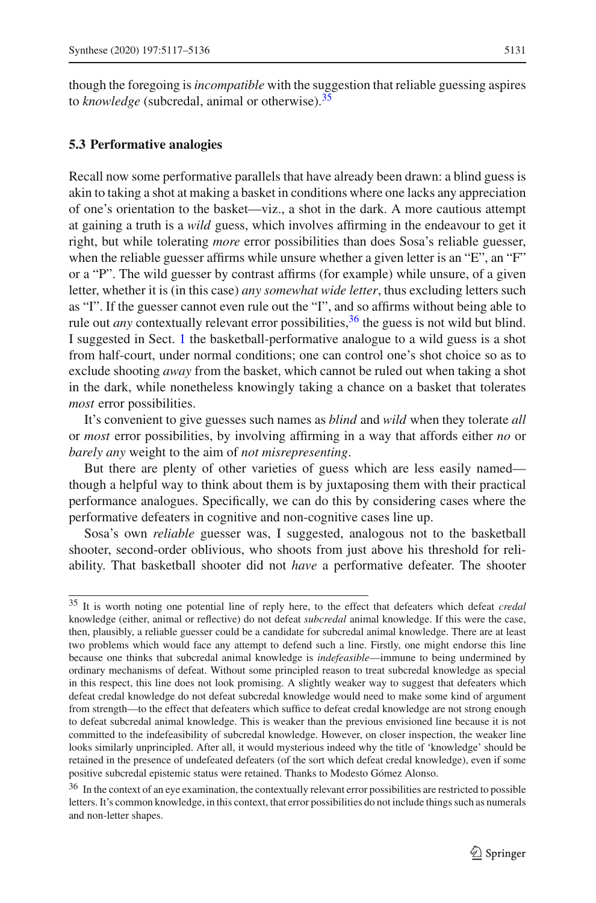though the foregoing is*incompatible* with the suggestion that reliable guessing aspires to *knowledge* (subcredal, animal or otherwise)[.35](#page-14-0)

#### **5.3 Performative analogies**

Recall now some performative parallels that have already been drawn: a blind guess is akin to taking a shot at making a basket in conditions where one lacks any appreciation of one's orientation to the basket—viz., a shot in the dark. A more cautious attempt at gaining a truth is a *wild* guess, which involves affirming in the endeavour to get it right, but while tolerating *more* error possibilities than does Sosa's reliable guesser, when the reliable guesser affirms while unsure whether a given letter is an "E", an "F" or a "P". The wild guesser by contrast affirms (for example) while unsure, of a given letter, whether it is (in this case) *any somewhat wide letter*, thus excluding letters such as "I". If the guesser cannot even rule out the "I", and so affirms without being able to rule out *any* contextually relevant error possibilities,  $36$  the guess is not wild but blind. I suggested in Sect. [1](#page-0-0) the basketball-performative analogue to a wild guess is a shot from half-court, under normal conditions; one can control one's shot choice so as to exclude shooting *away* from the basket, which cannot be ruled out when taking a shot in the dark, while nonetheless knowingly taking a chance on a basket that tolerates *most* error possibilities.

It's convenient to give guesses such names as *blind* and *wild* when they tolerate *all* or *most* error possibilities, by involving affirming in a way that affords either *no* or *barely any* weight to the aim of *not misrepresenting*.

But there are plenty of other varieties of guess which are less easily named though a helpful way to think about them is by juxtaposing them with their practical performance analogues. Specifically, we can do this by considering cases where the performative defeaters in cognitive and non-cognitive cases line up.

Sosa's own *reliable* guesser was, I suggested, analogous not to the basketball shooter, second-order oblivious, who shoots from just above his threshold for reliability. That basketball shooter did not *have* a performative defeater. The shooter

<span id="page-14-0"></span><sup>35</sup> It is worth noting one potential line of reply here, to the effect that defeaters which defeat *credal* knowledge (either, animal or reflective) do not defeat *subcredal* animal knowledge. If this were the case, then, plausibly, a reliable guesser could be a candidate for subcredal animal knowledge. There are at least two problems which would face any attempt to defend such a line. Firstly, one might endorse this line because one thinks that subcredal animal knowledge is *indefeasible*—immune to being undermined by ordinary mechanisms of defeat. Without some principled reason to treat subcredal knowledge as special in this respect, this line does not look promising. A slightly weaker way to suggest that defeaters which defeat credal knowledge do not defeat subcredal knowledge would need to make some kind of argument from strength—to the effect that defeaters which suffice to defeat credal knowledge are not strong enough to defeat subcredal animal knowledge. This is weaker than the previous envisioned line because it is not committed to the indefeasibility of subcredal knowledge. However, on closer inspection, the weaker line looks similarly unprincipled. After all, it would mysterious indeed why the title of 'knowledge' should be retained in the presence of undefeated defeaters (of the sort which defeat credal knowledge), even if some positive subcredal epistemic status were retained. Thanks to Modesto Gómez Alonso.

<span id="page-14-1"></span><sup>&</sup>lt;sup>36</sup> In the context of an eye examination, the contextually relevant error possibilities are restricted to possible letters. It's common knowledge, in this context, that error possibilities do not include things such as numerals and non-letter shapes.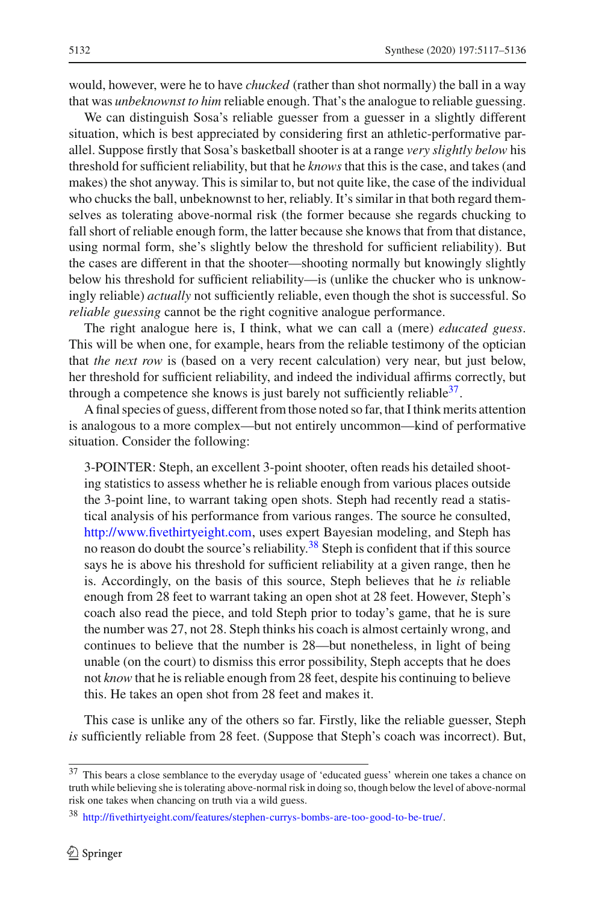would, however, were he to have *chucked* (rather than shot normally) the ball in a way that was *unbeknownst to him* reliable enough. That's the analogue to reliable guessing.

We can distinguish Sosa's reliable guesser from a guesser in a slightly different situation, which is best appreciated by considering first an athletic-performative parallel. Suppose firstly that Sosa's basketball shooter is at a range *very slightly below* his threshold for sufficient reliability, but that he *knows* that this is the case, and takes (and makes) the shot anyway. This is similar to, but not quite like, the case of the individual who chucks the ball, unbeknownst to her, reliably. It's similar in that both regard themselves as tolerating above-normal risk (the former because she regards chucking to fall short of reliable enough form, the latter because she knows that from that distance, using normal form, she's slightly below the threshold for sufficient reliability). But the cases are different in that the shooter—shooting normally but knowingly slightly below his threshold for sufficient reliability—is (unlike the chucker who is unknowingly reliable) *actually* not sufficiently reliable, even though the shot is successful. So *reliable guessing* cannot be the right cognitive analogue performance.

The right analogue here is, I think, what we can call a (mere) *educated guess*. This will be when one, for example, hears from the reliable testimony of the optician that *the next row* is (based on a very recent calculation) very near, but just below, her threshold for sufficient reliability, and indeed the individual affirms correctly, but through a competence she knows is just barely not sufficiently reliable  $3^7$ .

A final species of guess, different from those noted so far, that I think merits attention is analogous to a more complex—but not entirely uncommon—kind of performative situation. Consider the following:

3-POINTER: Steph, an excellent 3-point shooter, often reads his detailed shooting statistics to assess whether he is reliable enough from various places outside the 3-point line, to warrant taking open shots. Steph had recently read a statistical analysis of his performance from various ranges. The source he consulted, [http://www.fivethirtyeight.com,](http://www.fivethirtyeight.com) uses expert Bayesian modeling, and Steph has no reason do doubt the source's reliability.<sup>[38](#page-15-1)</sup> Steph is confident that if this source says he is above his threshold for sufficient reliability at a given range, then he is. Accordingly, on the basis of this source, Steph believes that he *is* reliable enough from 28 feet to warrant taking an open shot at 28 feet. However, Steph's coach also read the piece, and told Steph prior to today's game, that he is sure the number was 27, not 28. Steph thinks his coach is almost certainly wrong, and continues to believe that the number is 28—but nonetheless, in light of being unable (on the court) to dismiss this error possibility, Steph accepts that he does not *know* that he is reliable enough from 28 feet, despite his continuing to believe this. He takes an open shot from 28 feet and makes it.

This case is unlike any of the others so far. Firstly, like the reliable guesser, Steph *is* sufficiently reliable from 28 feet. (Suppose that Steph's coach was incorrect). But,

<span id="page-15-0"></span><sup>&</sup>lt;sup>37</sup> This bears a close semblance to the everyday usage of 'educated guess' wherein one takes a chance on truth while believing she is tolerating above-normal risk in doing so, though below the level of above-normal risk one takes when chancing on truth via a wild guess.

<span id="page-15-1"></span><sup>38</sup> [http://fivethirtyeight.com/features/stephen-currys-bombs-are-too-good-to-be-true/.](http://fivethirtyeight.com/features/stephen-currys-bombs-are-too-good-to-be-true/)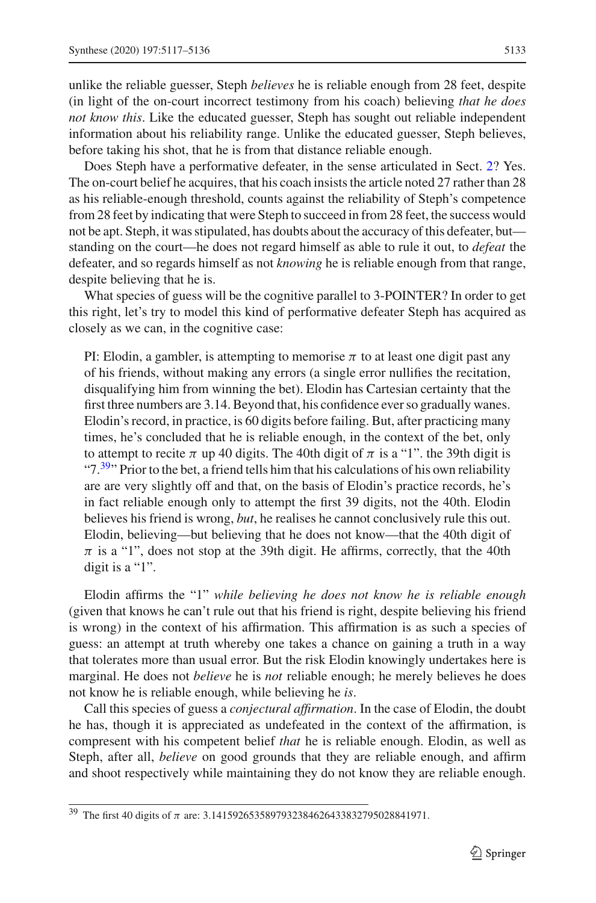unlike the reliable guesser, Steph *believes* he is reliable enough from 28 feet, despite (in light of the on-court incorrect testimony from his coach) believing *that he does not know this*. Like the educated guesser, Steph has sought out reliable independent information about his reliability range. Unlike the educated guesser, Steph believes, before taking his shot, that he is from that distance reliable enough.

Does Steph have a performative defeater, in the sense articulated in Sect. [2?](#page-2-1) Yes. The on-court belief he acquires, that his coach insists the article noted 27 rather than 28 as his reliable-enough threshold, counts against the reliability of Steph's competence from 28 feet by indicating that were Steph to succeed in from 28 feet, the success would not be apt. Steph, it was stipulated, has doubts about the accuracy of this defeater, but standing on the court—he does not regard himself as able to rule it out, to *defeat* the defeater, and so regards himself as not *knowing* he is reliable enough from that range, despite believing that he is.

What species of guess will be the cognitive parallel to 3-POINTER? In order to get this right, let's try to model this kind of performative defeater Steph has acquired as closely as we can, in the cognitive case:

PI: Elodin, a gambler, is attempting to memorise  $\pi$  to at least one digit past any of his friends, without making any errors (a single error nullifies the recitation, disqualifying him from winning the bet). Elodin has Cartesian certainty that the first three numbers are 3.14. Beyond that, his confidence ever so gradually wanes. Elodin's record, in practice, is 60 digits before failing. But, after practicing many times, he's concluded that he is reliable enough, in the context of the bet, only to attempt to recite  $\pi$  up 40 digits. The 40th digit of  $\pi$  is a "1". the 39th digit is " $7.39$  $7.39$ " Prior to the bet, a friend tells him that his calculations of his own reliability are are very slightly off and that, on the basis of Elodin's practice records, he's in fact reliable enough only to attempt the first 39 digits, not the 40th. Elodin believes his friend is wrong, *but*, he realises he cannot conclusively rule this out. Elodin, believing—but believing that he does not know—that the 40th digit of  $\pi$  is a "1", does not stop at the 39th digit. He affirms, correctly, that the 40th digit is a "1".

Elodin affirms the "1" *while believing he does not know he is reliable enough* (given that knows he can't rule out that his friend is right, despite believing his friend is wrong) in the context of his affirmation. This affirmation is as such a species of guess: an attempt at truth whereby one takes a chance on gaining a truth in a way that tolerates more than usual error. But the risk Elodin knowingly undertakes here is marginal. He does not *believe* he is *not* reliable enough; he merely believes he does not know he is reliable enough, while believing he *is*.

Call this species of guess a *conjectural affirmation*. In the case of Elodin, the doubt he has, though it is appreciated as undefeated in the context of the affirmation, is compresent with his competent belief *that* he is reliable enough. Elodin, as well as Steph, after all, *believe* on good grounds that they are reliable enough, and affirm and shoot respectively while maintaining they do not know they are reliable enough.

<span id="page-16-0"></span><sup>&</sup>lt;sup>39</sup> The first 40 digits of  $\pi$  are: 3.1415926535897932384626433832795028841971.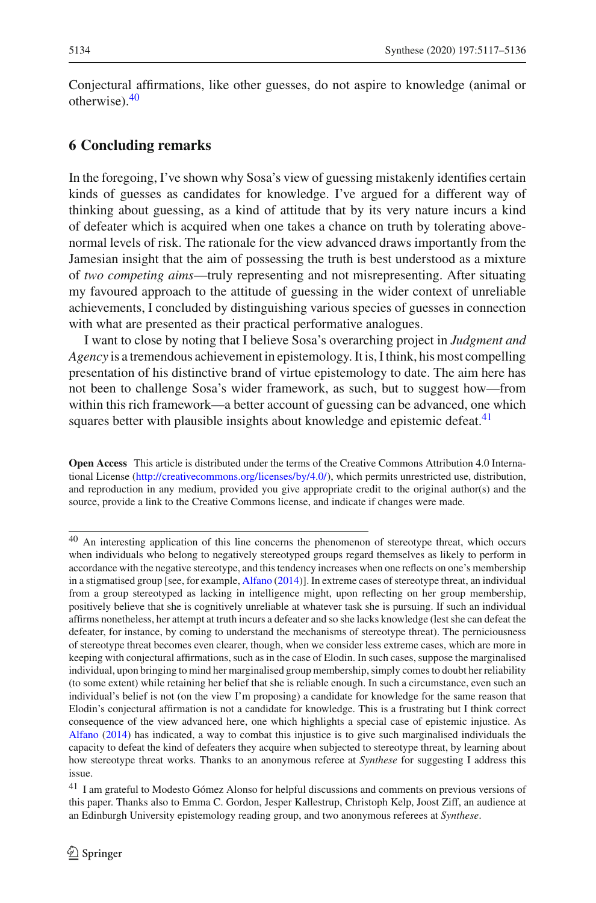Conjectural affirmations, like other guesses, do not aspire to knowledge (animal or otherwise)[.40](#page-17-0)

#### **6 Concluding remarks**

In the foregoing, I've shown why Sosa's view of guessing mistakenly identifies certain kinds of guesses as candidates for knowledge. I've argued for a different way of thinking about guessing, as a kind of attitude that by its very nature incurs a kind of defeater which is acquired when one takes a chance on truth by tolerating abovenormal levels of risk. The rationale for the view advanced draws importantly from the Jamesian insight that the aim of possessing the truth is best understood as a mixture of *two competing aims*—truly representing and not misrepresenting. After situating my favoured approach to the attitude of guessing in the wider context of unreliable achievements, I concluded by distinguishing various species of guesses in connection with what are presented as their practical performative analogues.

I want to close by noting that I believe Sosa's overarching project in *Judgment and Agency* is a tremendous achievement in epistemology. It is, I think, his most compelling presentation of his distinctive brand of virtue epistemology to date. The aim here has not been to challenge Sosa's wider framework, as such, but to suggest how—from within this rich framework—a better account of guessing can be advanced, one which squares better with plausible insights about knowledge and epistemic defeat. $41$ 

**Open Access** This article is distributed under the terms of the Creative Commons Attribution 4.0 International License [\(http://creativecommons.org/licenses/by/4.0/\)](http://creativecommons.org/licenses/by/4.0/), which permits unrestricted use, distribution, and reproduction in any medium, provided you give appropriate credit to the original author(s) and the source, provide a link to the Creative Commons license, and indicate if changes were made.

<span id="page-17-0"></span><sup>40</sup> An interesting application of this line concerns the phenomenon of stereotype threat, which occurs when individuals who belong to negatively stereotyped groups regard themselves as likely to perform in accordance with the negative stereotype, and this tendency increases when one reflects on one's membership in a stigmatised group [see, for example, [Alfano](#page-18-34) [\(2014\)](#page-18-34)]. In extreme cases of stereotype threat, an individual from a group stereotyped as lacking in intelligence might, upon reflecting on her group membership, positively believe that she is cognitively unreliable at whatever task she is pursuing. If such an individual affirms nonetheless, her attempt at truth incurs a defeater and so she lacks knowledge (lest she can defeat the defeater, for instance, by coming to understand the mechanisms of stereotype threat). The perniciousness of stereotype threat becomes even clearer, though, when we consider less extreme cases, which are more in keeping with conjectural affirmations, such as in the case of Elodin. In such cases, suppose the marginalised individual, upon bringing to mind her marginalised group membership, simply comes to doubt her reliability (to some extent) while retaining her belief that she is reliable enough. In such a circumstance, even such an individual's belief is not (on the view I'm proposing) a candidate for knowledge for the same reason that Elodin's conjectural affirmation is not a candidate for knowledge. This is a frustrating but I think correct consequence of the view advanced here, one which highlights a special case of epistemic injustice. As [Alfano](#page-18-34) [\(2014](#page-18-34)) has indicated, a way to combat this injustice is to give such marginalised individuals the capacity to defeat the kind of defeaters they acquire when subjected to stereotype threat, by learning about how stereotype threat works. Thanks to an anonymous referee at *Synthese* for suggesting I address this issue.

<span id="page-17-1"></span><sup>41</sup> I am grateful to Modesto Gómez Alonso for helpful discussions and comments on previous versions of this paper. Thanks also to Emma C. Gordon, Jesper Kallestrup, Christoph Kelp, Joost Ziff, an audience at an Edinburgh University epistemology reading group, and two anonymous referees at *Synthese*.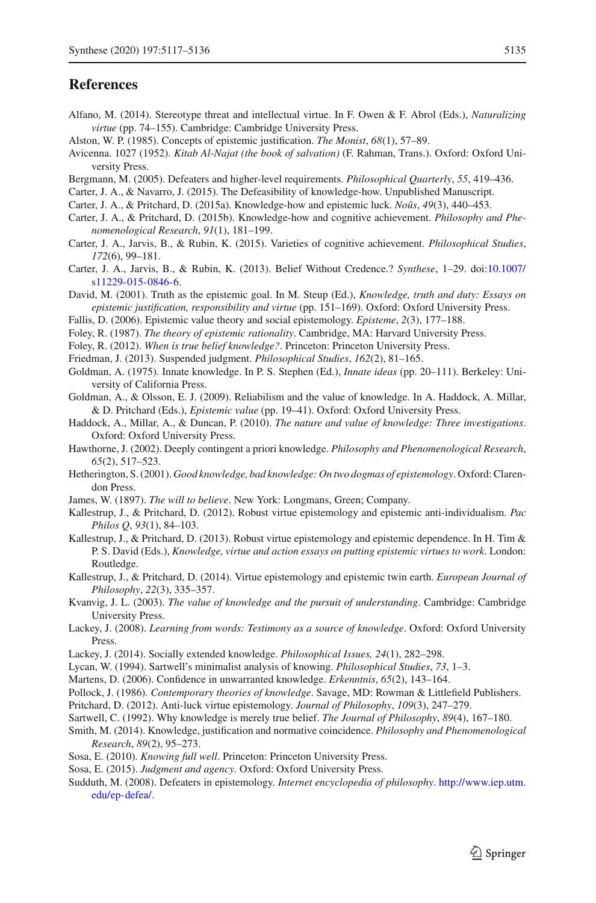#### **References**

- <span id="page-18-34"></span>Alfano, M. (2014). Stereotype threat and intellectual virtue. In F. Owen & F. Abrol (Eds.), *Naturalizing virtue* (pp. 74–155). Cambridge: Cambridge University Press.
- <span id="page-18-18"></span>Alston, W. P. (1985). Concepts of epistemic justification. *The Monist*, *68*(1), 57–89.
- <span id="page-18-25"></span>Avicenna. 1027 (1952). *Kitab Al-Najat (the book of salvation)* (F. Rahman, Trans.). Oxford: Oxford University Press.
- <span id="page-18-5"></span>Bergmann, M. (2005). Defeaters and higher-level requirements. *Philosophical Quarterly*, *55*, 419–436.
- <span id="page-18-4"></span>Carter, J. A., & Navarro, J. (2015). The Defeasibility of knowledge-how. Unpublished Manuscript.
- <span id="page-18-15"></span>Carter, J. A., & Pritchard, D. (2015a). Knowledge-how and epistemic luck. *Noûs*, *49*(3), 440–453.
- <span id="page-18-16"></span>Carter, J. A., & Pritchard, D. (2015b). Knowledge-how and cognitive achievement. *Philosophy and Phenomenological Research*, *91*(1), 181–199.
- <span id="page-18-22"></span>Carter, J. A., Jarvis, B., & Rubin, K. (2015). Varieties of cognitive achievement. *Philosophical Studies*, *172*(6), 99–181.
- <span id="page-18-23"></span>Carter, J. A., Jarvis, B., & Rubin, K. (2013). Belief Without Credence.? *Synthese*, 1–29. doi[:10.1007/](http://dx.doi.org/10.1007/s11229-015-0846-6) [s11229-015-0846-6.](http://dx.doi.org/10.1007/s11229-015-0846-6)
- <span id="page-18-20"></span>David, M. (2001). Truth as the epistemic goal. In M. Steup (Ed.), *Knowledge, truth and duty: Essays on epistemic justification, responsibility and virtue* (pp. 151–169). Oxford: Oxford University Press.
- <span id="page-18-21"></span>Fallis, D. (2006). Epistemic value theory and social epistemology. *Episteme*, *2*(3), 177–188.
- <span id="page-18-19"></span>Foley, R. (1987). *The theory of epistemic rationality*. Cambridge, MA: Harvard University Press.
- <span id="page-18-29"></span>Foley, R. (2012). *When is true belief knowledge?*. Princeton: Princeton University Press.
- <span id="page-18-33"></span>Friedman, J. (2013). Suspended judgment. *Philosophical Studies*, *162*(2), 81–165.
- <span id="page-18-26"></span>Goldman, A. (1975). Innate knowledge. In P. S. Stephen (Ed.), *Innate ideas* (pp. 20–111). Berkeley: University of California Press.
- <span id="page-18-2"></span>Goldman, A., & Olsson, E. J. (2009). Reliabilism and the value of knowledge. In A. Haddock, A. Millar, & D. Pritchard (Eds.), *Epistemic value* (pp. 19–41). Oxford: Oxford University Press.
- <span id="page-18-10"></span>Haddock, A., Millar, A., & Duncan, P. (2010). *The nature and value of knowledge: Three investigations*. Oxford: Oxford University Press.
- <span id="page-18-3"></span>Hawthorne, J. (2002). Deeply contingent a priori knowledge. *Philosophy and Phenomenological Research*, *65*(2), 517–523.
- <span id="page-18-27"></span>Hetherington, S. (2001). *Good knowledge, bad knowledge: On two dogmas of epistemology*. Oxford: Clarendon Press.
- <span id="page-18-17"></span>James, W. (1897). *The will to believe*. New York: Longmans, Green; Company.
- <span id="page-18-12"></span>Kallestrup, J., & Pritchard, D. (2012). Robust virtue epistemology and epistemic anti-individualism. *Pac Philos Q*, *93*(1), 84–103.
- <span id="page-18-13"></span>Kallestrup, J., & Pritchard, D. (2013). Robust virtue epistemology and epistemic dependence. In H. Tim & P. S. David (Eds.), *Knowledge, virtue and action essays on putting epistemic virtues to work*. London: Routledge.
- <span id="page-18-14"></span>Kallestrup, J., & Pritchard, D. (2014). Virtue epistemology and epistemic twin earth. *European Journal of Philosophy*, *22*(3), 335–357.
- <span id="page-18-32"></span>Kvanvig, J. L. (2003). *The value of knowledge and the pursuit of understanding*. Cambridge: Cambridge University Press.
- <span id="page-18-6"></span>Lackey, J. (2008). *Learning from words: Testimony as a source of knowledge*. Oxford: Oxford University Press.
- <span id="page-18-9"></span>Lackey, J. (2014). Socially extended knowledge. *Philosophical Issues, 24*(1), 282–298.
- <span id="page-18-31"></span>Lycan, W. (1994). Sartwell's minimalist analysis of knowing. *Philosophical Studies*, *73*, 1–3.
- <span id="page-18-30"></span>Martens, D. (2006). Confidence in unwarranted knowledge. *Erkenntnis*, *65*(2), 143–164.
- <span id="page-18-7"></span>Pollock, J. (1986). *Contemporary theories of knowledge*. Savage, MD: Rowman & Littlefield Publishers.
- <span id="page-18-11"></span>Pritchard, D. (2012). Anti-luck virtue epistemology. *Journal of Philosophy*, *109*(3), 247–279.
- <span id="page-18-28"></span>Sartwell, C. (1992). Why knowledge is merely true belief. *The Journal of Philosophy*, *89*(4), 167–180.
- <span id="page-18-24"></span>Smith, M. (2014). Knowledge, justification and normative coincidence. *Philosophy and Phenomenological Research*, *89*(2), 95–273.
- <span id="page-18-1"></span>Sosa, E. (2010). *Knowing full well*. Princeton: Princeton University Press.
- <span id="page-18-0"></span>Sosa, E. (2015). *Judgment and agency*. Oxford: Oxford University Press.
- <span id="page-18-8"></span>Sudduth, M. (2008). Defeaters in epistemology. *Internet encyclopedia of philosophy*. [http://www.iep.utm.](http://www.iep.utm.edu/ep-defea/) [edu/ep-defea/.](http://www.iep.utm.edu/ep-defea/)